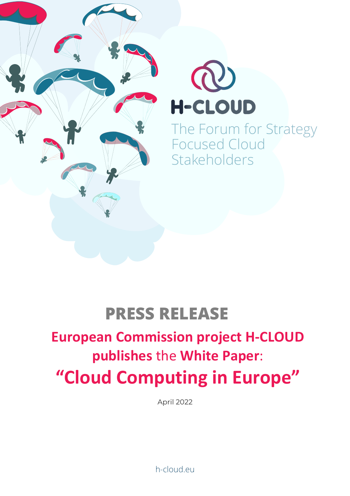



The Forum for Strategy Focused Cloud **Stakeholders** 

## **PRESS RELEASE**

# **European Commission project H-CLOUD publishes** the **White Paper**: **"Cloud Computing in Europe"**

April 2022

h-cloud.eu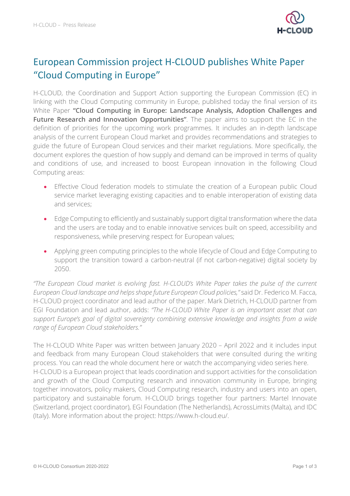

### European Commission project H-CLOUD publishes White Paper "Cloud Computing in Europe"

H-CLOUD, the Coordination and Support Action supporting the European Commission (EC) in linking with the Cloud Computing community in Europe, published today the final version of its White Paper **"Cloud Computing in Europe: Landscape Analysis, Adoption Challenges and Future Research and Innovation Opportunities"**. The paper aims to support the EC in the definition of priorities for the upcoming work programmes. It includes an in-depth landscape analysis of the current European Cloud market and provides recommendations and strategies to guide the future of European Cloud services and their market regulations. More specifically, the document explores the question of how supply and demand can be improved in terms of quality and conditions of use, and increased to boost European innovation in the following Cloud Computing areas:

- Effective Cloud federation models to stimulate the creation of a European public Cloud service market leveraging existing capacities and to enable interoperation of existing data and services;
- Edge Computing to efficiently and sustainably support digital transformation where the data and the users are today and to enable innovative services built on speed, accessibility and responsiveness, while preserving respect for European values;
- Applying green computing principles to the whole lifecycle of Cloud and Edge Computing to support the transition toward a carbon-neutral (if not carbon-negative) digital society by 2050.

*"The European Cloud market is evolving fast. H-CLOUD's White Paper takes the pulse of the current European Cloud landscape and helps shape future European Cloud policies,"* said Dr. Federico M. Facca, H-CLOUD project coordinator and lead author of the paper. Mark Dietrich, H-CLOUD partner from EGI Foundation and lead author, adds: *"The H-CLOUD White Paper is an important asset that can support Europe's goal of digital sovereignty combining extensive knowledge and insights from a wide range of European Cloud stakeholders."*

The H-CLOUD White Paper was written between January 2020 – April 2022 and it includes input and feedback from many European Cloud stakeholders that were consulted during the writing process. You can read the whole document here or watch the accompanying video series here. H-CLOUD is a European project that leads coordination and support activities for the consolidation and growth of the Cloud Computing research and innovation community in Europe, bringing together innovators, policy makers, Cloud Computing research, industry and users into an open, participatory and sustainable forum. H-CLOUD brings together four partners: Martel Innovate (Switzerland, project coordinator), EGI Foundation (The Netherlands), AcrossLimits (Malta), and IDC (Italy). More information about the project: https://www.h-cloud.eu/.